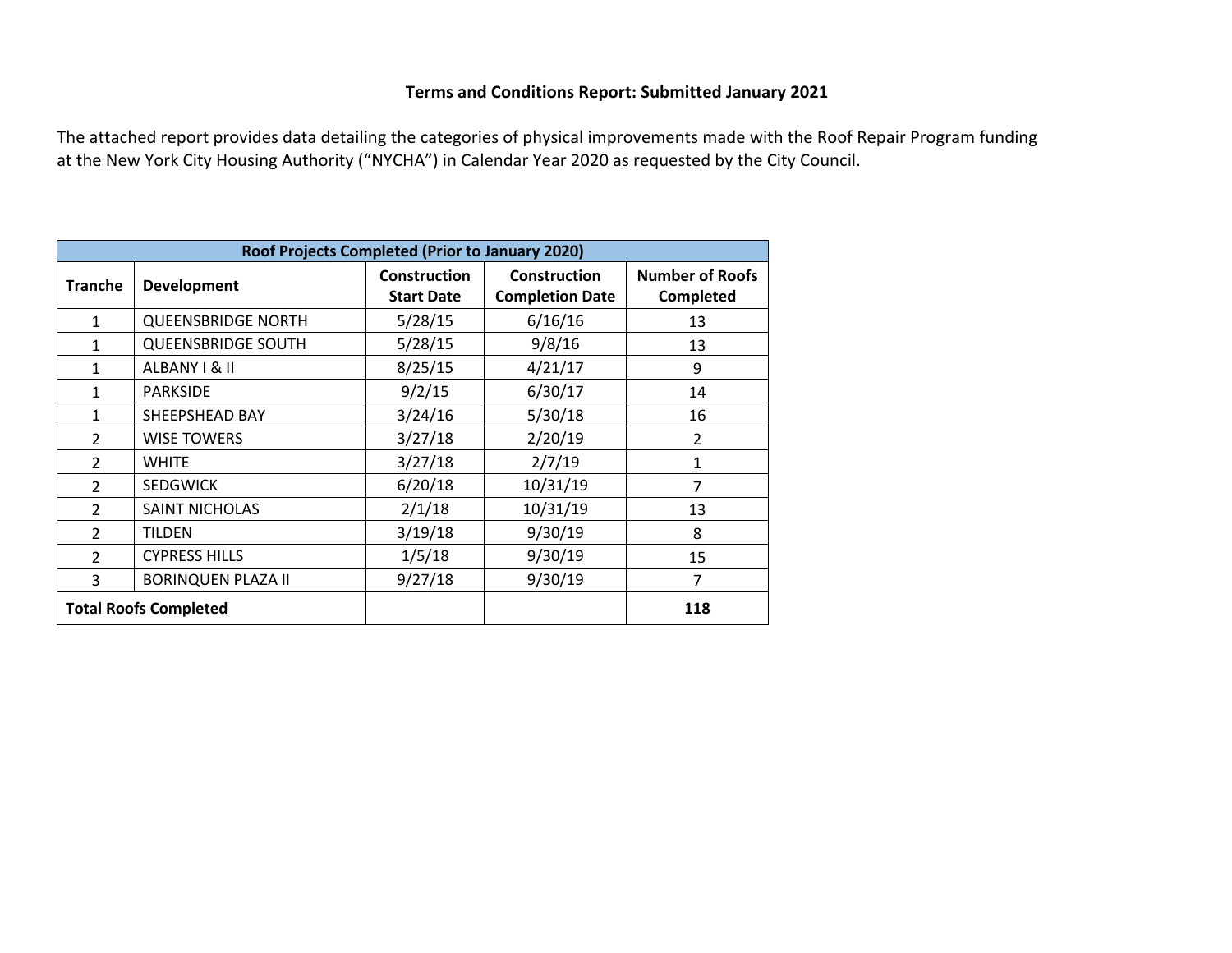## **Terms and Conditions Report: Submitted January 2021**

The attached report provides data detailing the categories of physical improvements made with the Roof Repair Program funding at the New York City Housing Authority ("NYCHA") in Calendar Year 2020 as requested by the City Council.

| Roof Projects Completed (Prior to January 2020) |                              |                                          |                                               |                                            |  |  |  |  |  |
|-------------------------------------------------|------------------------------|------------------------------------------|-----------------------------------------------|--------------------------------------------|--|--|--|--|--|
| <b>Tranche</b>                                  | <b>Development</b>           | <b>Construction</b><br><b>Start Date</b> | <b>Construction</b><br><b>Completion Date</b> | <b>Number of Roofs</b><br><b>Completed</b> |  |  |  |  |  |
| $\mathbf{1}$                                    | <b>QUEENSBRIDGE NORTH</b>    | 5/28/15                                  | 6/16/16                                       | 13                                         |  |  |  |  |  |
| 1                                               | <b>QUEENSBRIDGE SOUTH</b>    | 5/28/15                                  | 9/8/16                                        | 13                                         |  |  |  |  |  |
| 1                                               | ALBANY I & II                | 8/25/15                                  | 4/21/17                                       | 9                                          |  |  |  |  |  |
| 1                                               | <b>PARKSIDE</b>              | 9/2/15                                   | 6/30/17                                       | 14                                         |  |  |  |  |  |
| 1                                               | SHEEPSHEAD BAY               | 3/24/16                                  | 5/30/18                                       | 16                                         |  |  |  |  |  |
| 2                                               | <b>WISE TOWERS</b>           | 3/27/18                                  | 2/20/19                                       | 2                                          |  |  |  |  |  |
| $\overline{2}$                                  | <b>WHITE</b>                 | 3/27/18                                  | 2/7/19                                        | 1                                          |  |  |  |  |  |
| $\mathcal{P}$                                   | <b>SEDGWICK</b>              | 6/20/18                                  | 10/31/19                                      | 7                                          |  |  |  |  |  |
| $\mathcal{P}$                                   | SAINT NICHOLAS               | 2/1/18                                   | 10/31/19                                      | 13                                         |  |  |  |  |  |
| $\mathcal{P}$                                   | <b>TILDEN</b>                | 3/19/18                                  | 9/30/19                                       | 8                                          |  |  |  |  |  |
| $\mathcal{P}$                                   | <b>CYPRESS HILLS</b>         | 1/5/18                                   | 9/30/19                                       | 15                                         |  |  |  |  |  |
| 3                                               | <b>BORINQUEN PLAZA II</b>    | 9/27/18                                  | 9/30/19                                       | $\overline{7}$                             |  |  |  |  |  |
|                                                 | <b>Total Roofs Completed</b> |                                          |                                               | 118                                        |  |  |  |  |  |